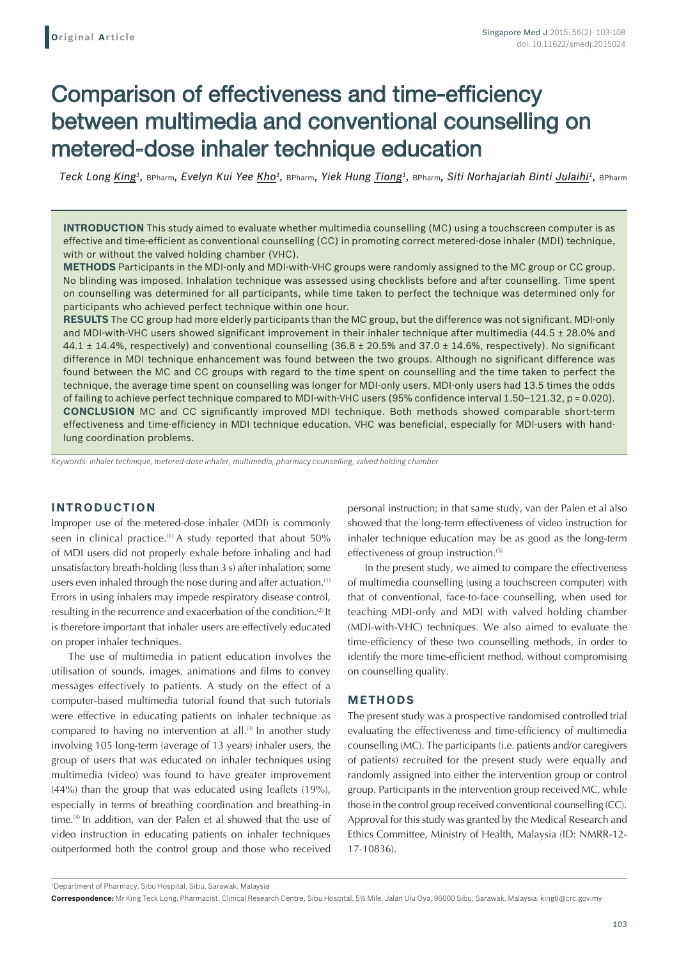# Comparison of effectiveness and time-efficiency between multimedia and conventional counselling on metered-dose inhaler technique education

*Teck Long King1,* BPharm*, Evelyn Kui Yee Kho1,* BPharm*, Yiek Hung Tiong1,* BPharm*, Siti Norhajariah Binti Julaihi1,* BPharm

**INTRODUCTION** This study aimed to evaluate whether multimedia counselling (MC) using a touchscreen computer is as effective and time-efficient as conventional counselling (CC) in promoting correct metered-dose inhaler (MDI) technique, with or without the valved holding chamber (VHC).

**METHODS** Participants in the MDI-only and MDI-with-VHC groups were randomly assigned to the MC group or CC group. No blinding was imposed. Inhalation technique was assessed using checklists before and after counselling. Time spent on counselling was determined for all participants, while time taken to perfect the technique was determined only for participants who achieved perfect technique within one hour.

**RESULTS** The CC group had more elderly participants than the MC group, but the difference was not significant. MDI-only and MDI-with-VHC users showed significant improvement in their inhaler technique after multimedia (44.5 ± 28.0% and 44.1  $\pm$  14.4%, respectively) and conventional counselling (36.8  $\pm$  20.5% and 37.0  $\pm$  14.6%, respectively). No significant difference in MDI technique enhancement was found between the two groups. Although no significant difference was found between the MC and CC groups with regard to the time spent on counselling and the time taken to perfect the technique, the average time spent on counselling was longer for MDI-only users. MDI-only users had 13.5 times the odds of failing to achieve perfect technique compared to MDI-with-VHC users (95% confidence interval 1.50–121.32, p = 0.020). **CONCLUSION** MC and CC significantly improved MDI technique. Both methods showed comparable short-term effectiveness and time-efficiency in MDI technique education. VHC was beneficial, especially for MDI-users with handlung coordination problems.

*Keywords: inhaler technique, metered-dose inhaler, multimedia, pharmacy counselling, valved holding chamber*

### **INTRODUCTION**

Improper use of the metered-dose inhaler (MDI) is commonly seen in clinical practice.<sup>(1)</sup> A study reported that about 50% of MDI users did not properly exhale before inhaling and had unsatisfactory breath-holding (less than 3 s) after inhalation; some users even inhaled through the nose during and after actuation.<sup>(1)</sup> Errors in using inhalers may impede respiratory disease control, resulting in the recurrence and exacerbation of the condition.<sup>(2)</sup> It is therefore important that inhaler users are effectively educated on proper inhaler techniques.

The use of multimedia in patient education involves the utilisation of sounds, images, animations and films to convey messages effectively to patients. A study on the effect of a computer-based multimedia tutorial found that such tutorials were effective in educating patients on inhaler technique as compared to having no intervention at all.<sup>(3)</sup> In another study involving 105 long-term (average of 13 years) inhaler users, the group of users that was educated on inhaler techniques using multimedia (video) was found to have greater improvement (44%) than the group that was educated using leaflets (19%), especially in terms of breathing coordination and breathing-in time.<sup>(4)</sup> In addition, van der Palen et al showed that the use of video instruction in educating patients on inhaler techniques outperformed both the control group and those who received personal instruction; in that same study, van der Palen et al also showed that the long-term effectiveness of video instruction for inhaler technique education may be as good as the long-term effectiveness of group instruction.<sup>(5)</sup>

In the present study, we aimed to compare the effectiveness of multimedia counselling (using a touchscreen computer) with that of conventional, face-to-face counselling, when used for teaching MDI-only and MDI with valved holding chamber (MDI-with-VHC) techniques. We also aimed to evaluate the time-efficiency of these two counselling methods, in order to identify the more time-efficient method, without compromising on counselling quality.

#### **METHODS**

The present study was a prospective randomised controlled trial evaluating the effectiveness and time-efficiency of multimedia counselling (MC). The participants (i.e. patients and/or caregivers of patients) recruited for the present study were equally and randomly assigned into either the intervention group or control group. Participants in the intervention group received MC, while those in the control group received conventional counselling (CC). Approval for this study was granted by the Medical Research and Ethics Committee, Ministry of Health, Malaysia (ID: NMRR-12- 17-10836).

**Correspondence:** Mr King Teck Long, Pharmacist, Clinical Research Centre, Sibu Hospital, 5½ Mile, Jalan Ulu Oya, 96000 Sibu, Sarawak, Malaysia. kingtl@crc.gov.my

<sup>1</sup> Department of Pharmacy, Sibu Hospital, Sibu, Sarawak, Malaysia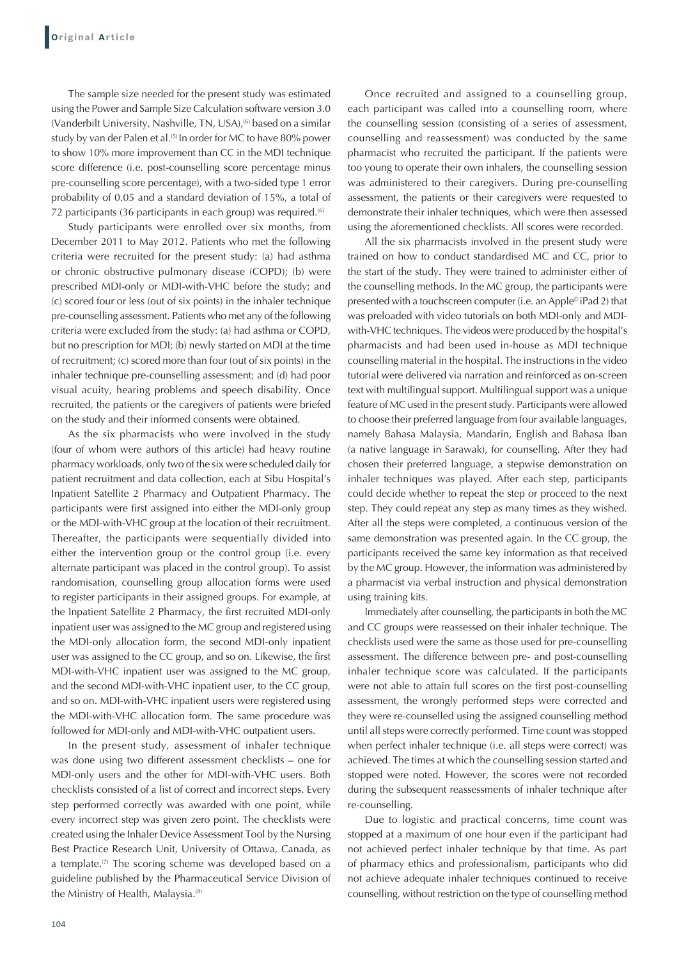The sample size needed for the present study was estimated using the Power and Sample Size Calculation software version 3.0 (Vanderbilt University, Nashville, TN, USA),<sup>(6)</sup> based on a similar study by van der Palen et al.<sup>(5)</sup> In order for MC to have 80% power to show 10% more improvement than CC in the MDI technique score difference (i.e. post-counselling score percentage minus pre-counselling score percentage), with a two-sided type 1 error probability of 0.05 and a standard deviation of 15%, a total of 72 participants (36 participants in each group) was required.<sup>(6)</sup>

Study participants were enrolled over six months, from December 2011 to May 2012. Patients who met the following criteria were recruited for the present study: (a) had asthma or chronic obstructive pulmonary disease (COPD); (b) were prescribed MDI-only or MDI-with-VHC before the study; and (c) scored four or less (out of six points) in the inhaler technique pre-counselling assessment. Patients who met any of the following criteria were excluded from the study: (a) had asthma or COPD, but no prescription for MDI; (b) newly started on MDI at the time of recruitment; (c) scored more than four (out of six points) in the inhaler technique pre-counselling assessment; and (d) had poor visual acuity, hearing problems and speech disability. Once recruited, the patients or the caregivers of patients were briefed on the study and their informed consents were obtained.

As the six pharmacists who were involved in the study (four of whom were authors of this article) had heavy routine pharmacy workloads, only two of the six were scheduled daily for patient recruitment and data collection, each at Sibu Hospital's Inpatient Satellite 2 Pharmacy and Outpatient Pharmacy. The participants were first assigned into either the MDI-only group or the MDI-with-VHC group at the location of their recruitment. Thereafter, the participants were sequentially divided into either the intervention group or the control group (i.e. every alternate participant was placed in the control group). To assist randomisation, counselling group allocation forms were used to register participants in their assigned groups. For example, at the Inpatient Satellite 2 Pharmacy, the first recruited MDI-only inpatient user was assigned to the MC group and registered using the MDI-only allocation form, the second MDI-only inpatient user was assigned to the CC group, and so on. Likewise, the first MDI-with-VHC inpatient user was assigned to the MC group, and the second MDI-with-VHC inpatient user, to the CC group, and so on. MDI-with-VHC inpatient users were registered using the MDI-with-VHC allocation form. The same procedure was followed for MDI-only and MDI-with-VHC outpatient users.

In the present study, assessment of inhaler technique was done using two different assessment checklists **–** one for MDI-only users and the other for MDI-with-VHC users. Both checklists consisted of a list of correct and incorrect steps. Every step performed correctly was awarded with one point, while every incorrect step was given zero point. The checklists were created using the Inhaler Device Assessment Tool by the Nursing Best Practice Research Unit, University of Ottawa, Canada, as a template.<sup>(7)</sup> The scoring scheme was developed based on a guideline published by the Pharmaceutical Service Division of the Ministry of Health, Malaysia.<sup>(8)</sup>

Once recruited and assigned to a counselling group, each participant was called into a counselling room, where the counselling session (consisting of a series of assessment, counselling and reassessment) was conducted by the same pharmacist who recruited the participant. If the patients were too young to operate their own inhalers, the counselling session was administered to their caregivers. During pre-counselling assessment, the patients or their caregivers were requested to demonstrate their inhaler techniques, which were then assessed using the aforementioned checklists. All scores were recorded.

All the six pharmacists involved in the present study were trained on how to conduct standardised MC and CC, prior to the start of the study. They were trained to administer either of the counselling methods. In the MC group, the participants were presented with a touchscreen computer (i.e. an Apple© iPad 2) that was preloaded with video tutorials on both MDI-only and MDIwith-VHC techniques. The videos were produced by the hospital's pharmacists and had been used in-house as MDI technique counselling material in the hospital. The instructions in the video tutorial were delivered via narration and reinforced as on-screen text with multilingual support. Multilingual support was a unique feature of MC used in the present study. Participants were allowed to choose their preferred language from four available languages, namely Bahasa Malaysia, Mandarin, English and Bahasa Iban (a native language in Sarawak), for counselling. After they had chosen their preferred language, a stepwise demonstration on inhaler techniques was played. After each step, participants could decide whether to repeat the step or proceed to the next step. They could repeat any step as many times as they wished. After all the steps were completed, a continuous version of the same demonstration was presented again. In the CC group, the participants received the same key information as that received by the MC group. However, the information was administered by a pharmacist via verbal instruction and physical demonstration using training kits.

Immediately after counselling, the participants in both the MC and CC groups were reassessed on their inhaler technique. The checklists used were the same as those used for pre-counselling assessment. The difference between pre- and post-counselling inhaler technique score was calculated. If the participants were not able to attain full scores on the first post-counselling assessment, the wrongly performed steps were corrected and they were re-counselled using the assigned counselling method until all steps were correctly performed. Time count was stopped when perfect inhaler technique (i.e. all steps were correct) was achieved. The times at which the counselling session started and stopped were noted. However, the scores were not recorded during the subsequent reassessments of inhaler technique after re-counselling.

Due to logistic and practical concerns, time count was stopped at a maximum of one hour even if the participant had not achieved perfect inhaler technique by that time. As part of pharmacy ethics and professionalism, participants who did not achieve adequate inhaler techniques continued to receive counselling, without restriction on the type of counselling method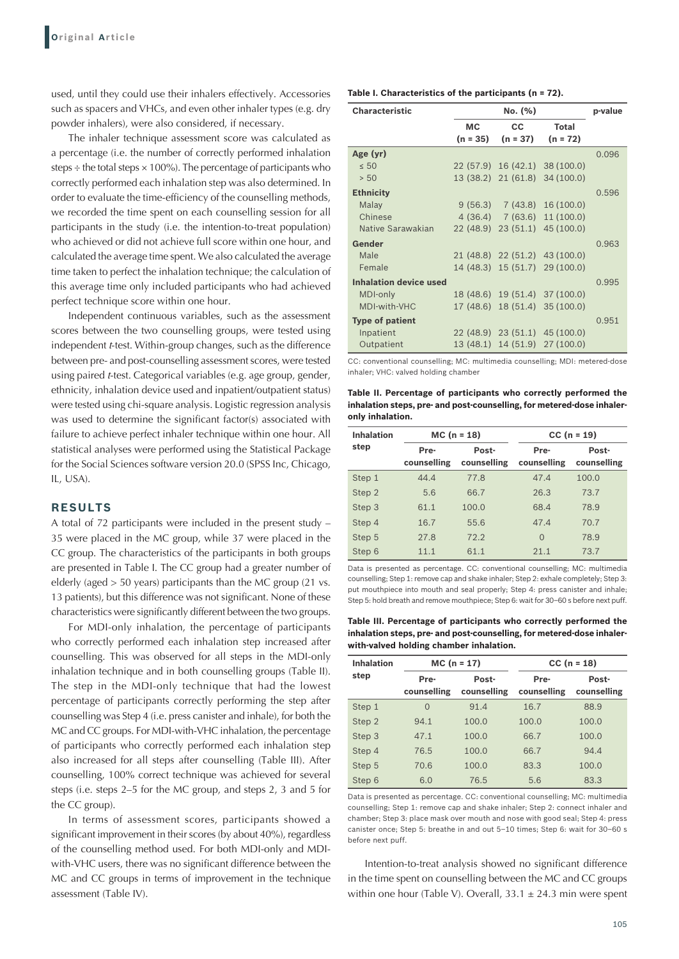used, until they could use their inhalers effectively. Accessories such as spacers and VHCs, and even other inhaler types (e.g. dry powder inhalers), were also considered, if necessary.

The inhaler technique assessment score was calculated as a percentage (i.e. the number of correctly performed inhalation steps  $\div$  the total steps  $\times$  100%). The percentage of participants who correctly performed each inhalation step was also determined. In order to evaluate the time-efficiency of the counselling methods, we recorded the time spent on each counselling session for all participants in the study (i.e. the intention-to-treat population) who achieved or did not achieve full score within one hour, and calculated the average time spent. We also calculated the average time taken to perfect the inhalation technique; the calculation of this average time only included participants who had achieved perfect technique score within one hour.

Independent continuous variables, such as the assessment scores between the two counselling groups, were tested using independent *t*-test. Within-group changes, such as the difference between pre- and post-counselling assessment scores, were tested using paired *t*-test. Categorical variables (e.g. age group, gender, ethnicity, inhalation device used and inpatient/outpatient status) were tested using chi-square analysis. Logistic regression analysis was used to determine the significant factor(s) associated with failure to achieve perfect inhaler technique within one hour. All statistical analyses were performed using the Statistical Package for the Social Sciences software version 20.0 (SPSS Inc, Chicago, IL, USA).

# **RESULTS**

A total of 72 participants were included in the present study – 35 were placed in the MC group, while 37 were placed in the CC group. The characteristics of the participants in both groups are presented in Table I. The CC group had a greater number of elderly (aged > 50 years) participants than the MC group (21 vs. 13 patients), but this difference was not significant. None of these characteristics were significantly different between the two groups.

For MDI-only inhalation, the percentage of participants who correctly performed each inhalation step increased after counselling. This was observed for all steps in the MDI-only inhalation technique and in both counselling groups (Table II). The step in the MDI-only technique that had the lowest percentage of participants correctly performing the step after counselling was Step 4 (i.e. press canister and inhale), for both the MC and CC groups. For MDI-with-VHC inhalation, the percentage of participants who correctly performed each inhalation step also increased for all steps after counselling (Table III). After counselling, 100% correct technique was achieved for several steps (i.e. steps 2–5 for the MC group, and steps 2, 3 and 5 for the CC group).

In terms of assessment scores, participants showed a significant improvement in their scores (by about 40%), regardless of the counselling method used. For both MDI-only and MDIwith-VHC users, there was no significant difference between the MC and CC groups in terms of improvement in the technique assessment (Table IV).

|  |  |  |  |  | Table I. Characteristics of the participants (n = 72). |  |  |
|--|--|--|--|--|--------------------------------------------------------|--|--|
|--|--|--|--|--|--------------------------------------------------------|--|--|

| <b>Characteristic</b>         |           | p-value    |                                 |       |
|-------------------------------|-----------|------------|---------------------------------|-------|
|                               | <b>MC</b> | cc         | <b>Total</b>                    |       |
|                               | (n = 35)  | $(n = 37)$ | $(n = 72)$                      |       |
| Age (yr)                      |           |            |                                 | 0.096 |
| $\leq 50$                     |           |            | 22 (57.9) 16 (42.1) 38 (100.0)  |       |
| > 50                          |           |            | 13 (38.2) 21 (61.8) 34 (100.0)  |       |
| <b>Ethnicity</b>              |           |            |                                 | 0.596 |
| Malay                         |           |            | $9(56.3)$ $7(43.8)$ $16(100.0)$ |       |
| Chinese                       |           |            | $4(36.4)$ 7 (63.6) 11 (100.0)   |       |
| Native Sarawakian             |           |            | 22 (48.9) 23 (51.1) 45 (100.0)  |       |
| Gender                        |           |            |                                 | 0.963 |
| Male                          |           |            | 21 (48.8) 22 (51.2) 43 (100.0)  |       |
| Female                        |           |            | 14 (48.3) 15 (51.7) 29 (100.0)  |       |
| <b>Inhalation device used</b> |           |            |                                 | 0.995 |
| MDI-only                      |           |            | 18 (48.6) 19 (51.4) 37 (100.0)  |       |
| MDI-with-VHC                  |           |            | 17 (48.6) 18 (51.4) 35 (100.0)  |       |
| <b>Type of patient</b>        |           |            |                                 | 0.951 |
| Inpatient                     |           |            | 22 (48.9) 23 (51.1) 45 (100.0)  |       |
| Outpatient                    |           |            | 13 (48.1) 14 (51.9) 27 (100.0)  |       |

CC: conventional counselling; MC: multimedia counselling; MDI: metered-dose inhaler; VHC: valved holding chamber

**Table II. Percentage of participants who correctly performed the inhalation steps, pre‑ and post‑counselling, for metered-dose inhaleronly inhalation.** 

| <b>Inhalation</b> |                     | $MC (n = 18)$        | $CC (n = 19)$       |                      |  |
|-------------------|---------------------|----------------------|---------------------|----------------------|--|
| step              | Pre-<br>counselling | Post-<br>counselling | Pre-<br>counselling | Post-<br>counselling |  |
| Step 1            | 44.4                | 77.8                 | 47.4                | 100.0                |  |
| Step 2            | 5.6                 | 66.7                 | 26.3                | 73.7                 |  |
| Step 3            | 61.1                | 100.0                | 68.4                | 78.9                 |  |
| Step 4            | 16.7                | 55.6                 | 47.4                | 70.7                 |  |
| Step 5            | 27.8                | 72.2                 | $\Omega$            | 78.9                 |  |
| Step 6            | 11.1                | 61.1                 | 21.1                | 73.7                 |  |

Data is presented as percentage. CC: conventional counselling; MC: multimedia counselling; Step 1: remove cap and shake inhaler; Step 2: exhale completely; Step 3: put mouthpiece into mouth and seal properly; Step 4: press canister and inhale; Step 5: hold breath and remove mouthpiece; Step 6: wait for 30–60 s before next puff.

**Table III. Percentage of participants who correctly performed the inhalation steps, pre‑ and post‑counselling, for metered-dose inhalerwith‑valved holding chamber inhalation.**

| <b>Inhalation</b> |                     | $MC (n = 17)$        | $CC (n = 18)$       |                      |  |
|-------------------|---------------------|----------------------|---------------------|----------------------|--|
| step              | Pre-<br>counselling | Post-<br>counselling | Pre-<br>counselling | Post-<br>counselling |  |
| Step 1            | $\Omega$            | 91.4                 | 16.7                | 88.9                 |  |
| Step 2            | 94.1                | 100.0                | 100.0               | 100.0                |  |
| Step 3            | 47.1                | 100.0                | 66.7                | 100.0                |  |
| Step 4            | 76.5                | 100.0                | 66.7                | 94.4                 |  |
| Step 5            | 70.6                | 100.0                | 83.3                | 100.0                |  |
| Step 6            | 6.0                 | 76.5                 | 5.6                 | 83.3                 |  |

Data is presented as percentage. CC: conventional counselling; MC: multimedia counselling; Step 1: remove cap and shake inhaler; Step 2: connect inhaler and chamber; Step 3: place mask over mouth and nose with good seal; Step 4: press canister once; Step 5: breathe in and out 5–10 times; Step 6: wait for 30–60 s before next puff.

Intention-to-treat analysis showed no significant difference in the time spent on counselling between the MC and CC groups within one hour (Table V). Overall,  $33.1 \pm 24.3$  min were spent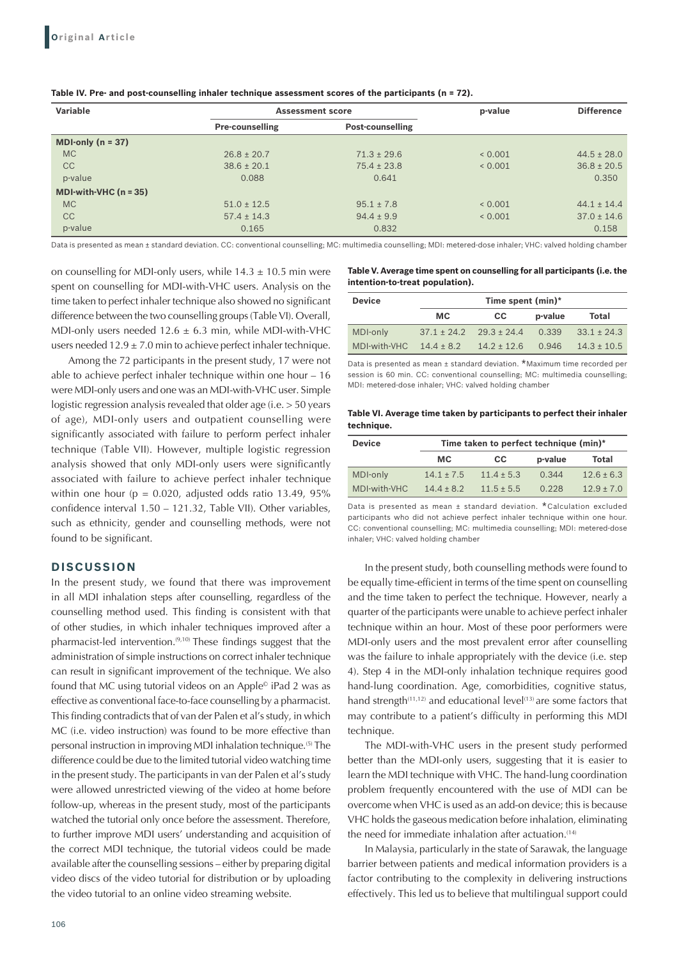| Variable                |                        | <b>Assessment score</b> | p-value | <b>Difference</b> |
|-------------------------|------------------------|-------------------------|---------|-------------------|
|                         | <b>Pre-counselling</b> | <b>Post-counselling</b> |         |                   |
| MDI-only $(n = 37)$     |                        |                         |         |                   |
| <b>MC</b>               | $26.8 \pm 20.7$        | $71.3 \pm 29.6$         | 0.001   | $44.5 \pm 28.0$   |
| <b>CC</b>               | $38.6 \pm 20.1$        | $75.4 \pm 23.8$         | 0.001   | $36.8 \pm 20.5$   |
| p-value                 | 0.088                  | 0.641                   |         | 0.350             |
| MDI-with-VHC $(n = 35)$ |                        |                         |         |                   |
| <b>MC</b>               | $51.0 \pm 12.5$        | $95.1 \pm 7.8$          | < 0.001 | $44.1 \pm 14.4$   |
| <b>CC</b>               | $57.4 \pm 14.3$        | $94.4 \pm 9.9$          | 0.001   | $37.0 \pm 14.6$   |
| p-value                 | 0.165                  | 0.832                   |         | 0.158             |

**Table IV. Pre‑ and post‑counselling inhaler technique assessment scores of the participants (n = 72).**

Data is presented as mean ± standard deviation. CC: conventional counselling; MC: multimedia counselling; MDI: metered-dose inhaler; VHC: valved holding chamber

on counselling for MDI-only users, while  $14.3 \pm 10.5$  min were spent on counselling for MDI-with-VHC users. Analysis on the time taken to perfect inhaler technique also showed no significant difference between the two counselling groups (Table VI). Overall, MDI-only users needed  $12.6 \pm 6.3$  min, while MDI-with-VHC users needed  $12.9 \pm 7.0$  min to achieve perfect inhaler technique.

Among the 72 participants in the present study, 17 were not able to achieve perfect inhaler technique within one hour – 16 were MDI-only users and one was an MDI-with-VHC user. Simple logistic regression analysis revealed that older age (i.e. > 50 years of age), MDI-only users and outpatient counselling were significantly associated with failure to perform perfect inhaler technique (Table VII). However, multiple logistic regression analysis showed that only MDI-only users were significantly associated with failure to achieve perfect inhaler technique within one hour ( $p = 0.020$ , adjusted odds ratio 13.49, 95% confidence interval 1.50 – 121.32, Table VII). Other variables, such as ethnicity, gender and counselling methods, were not found to be significant.

## **DISCUSSION**

In the present study, we found that there was improvement in all MDI inhalation steps after counselling, regardless of the counselling method used. This finding is consistent with that of other studies, in which inhaler techniques improved after a pharmacist-led intervention.(9,10) These findings suggest that the administration of simple instructions on correct inhaler technique can result in significant improvement of the technique. We also found that MC using tutorial videos on an Apple© iPad 2 was as effective as conventional face-to-face counselling by a pharmacist. This finding contradicts that of van der Palen et al's study, in which MC (i.e. video instruction) was found to be more effective than personal instruction in improving MDI inhalation technique.(5) The difference could be due to the limited tutorial video watching time in the present study. The participants in van der Palen et al's study were allowed unrestricted viewing of the video at home before follow-up, whereas in the present study, most of the participants watched the tutorial only once before the assessment. Therefore, to further improve MDI users' understanding and acquisition of the correct MDI technique, the tutorial videos could be made available after the counselling sessions – either by preparing digital video discs of the video tutorial for distribution or by uploading the video tutorial to an online video streaming website.

| Table V. Average time spent on counselling for all participants (i.e. the |
|---------------------------------------------------------------------------|
| intention-to-treat population).                                           |

| <b>Device</b> |                                 | Time spent (min)* |         |                 |
|---------------|---------------------------------|-------------------|---------|-----------------|
|               | MC.                             | CC.               | p-value | Total           |
| MDI-only      | $37.1 \pm 24.2$ $29.3 \pm 24.4$ |                   | 0.339   | $33.1 \pm 24.3$ |
| MDI-with-VHC  | $14.4 + 8.2$                    | $14.2 + 12.6$     | 0.946   | $14.3 \pm 10.5$ |

Data is presented as mean <sup>±</sup> standard deviation. \*Maximum time recorded per session is 60 min. CC: conventional counselling; MC: multimedia counselling; MDI: metered-dose inhaler; VHC: valved holding chamber

**Table VI. Average time taken by participants to perfect their inhaler technique.**

| <b>Device</b> | Time taken to perfect technique (min)* |                |         |                |  |  |
|---------------|----------------------------------------|----------------|---------|----------------|--|--|
|               | MC.                                    | CC.            | p-value | Total          |  |  |
| MDI-only      | $14.1 + 7.5$                           | $11.4 \pm 5.3$ | 0.344   | $12.6 \pm 6.3$ |  |  |
| MDI-with-VHC  | $14.4 + 8.2$                           | $11.5 \pm 5.5$ | 0.228   | $12.9 \pm 7.0$ |  |  |

Data is presented as mean <sup>±</sup> standard deviation. \*Calculation excluded participants who did not achieve perfect inhaler technique within one hour. CC: conventional counselling; MC: multimedia counselling; MDI: metered-dose inhaler; VHC: valved holding chamber

In the present study, both counselling methods were found to be equally time-efficient in terms of the time spent on counselling and the time taken to perfect the technique. However, nearly a quarter of the participants were unable to achieve perfect inhaler technique within an hour. Most of these poor performers were MDI-only users and the most prevalent error after counselling was the failure to inhale appropriately with the device (i.e. step 4). Step 4 in the MDI-only inhalation technique requires good hand-lung coordination. Age, comorbidities, cognitive status, hand strength $(11,12)$  and educational level $(13)$  are some factors that may contribute to a patient's difficulty in performing this MDI technique.

The MDI-with-VHC users in the present study performed better than the MDI-only users, suggesting that it is easier to learn the MDI technique with VHC. The hand-lung coordination problem frequently encountered with the use of MDI can be overcome when VHC is used as an add-on device; this is because VHC holds the gaseous medication before inhalation, eliminating the need for immediate inhalation after actuation.<sup>(14)</sup>

In Malaysia, particularly in the state of Sarawak, the language barrier between patients and medical information providers is a factor contributing to the complexity in delivering instructions effectively. This led us to believe that multilingual support could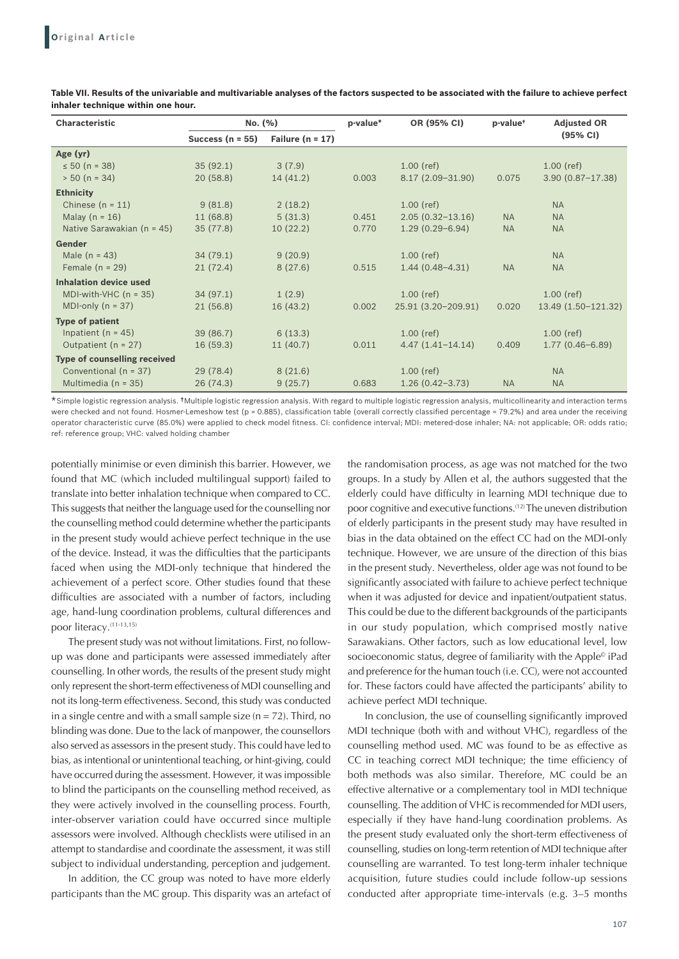| <b>Characteristic</b>          | No. (%)              |                      | p-value* | OR (95% CI)          | p-value <sup>+</sup> | <b>Adjusted OR</b>   |
|--------------------------------|----------------------|----------------------|----------|----------------------|----------------------|----------------------|
|                                | Success ( $n = 55$ ) | Failure ( $n = 17$ ) |          |                      |                      | (95% CI)             |
| Age (yr)                       |                      |                      |          |                      |                      |                      |
| $\leq 50$ (n = 38)             | 35(92.1)             | 3(7.9)               |          | $1.00$ (ref)         |                      | $1.00$ (ref)         |
| $> 50$ (n = 34)                | 20(58.8)             | 14(41.2)             | 0.003    | $8.17(2.09 - 31.90)$ | 0.075                | $3.90(0.87 - 17.38)$ |
| <b>Ethnicity</b>               |                      |                      |          |                      |                      |                      |
| Chinese $(n = 11)$             | 9(81.8)              | 2(18.2)              |          | $1.00$ (ref)         |                      | <b>NA</b>            |
| Malay $(n = 16)$               | 11 (68.8)            | 5(31.3)              | 0.451    | $2.05(0.32 - 13.16)$ | <b>NA</b>            | <b>NA</b>            |
| Native Sarawakian ( $n = 45$ ) | 35(77.8)             | 10(22.2)             | 0.770    | $1.29(0.29 - 6.94)$  | <b>NA</b>            | <b>NA</b>            |
| Gender                         |                      |                      |          |                      |                      |                      |
| Male $(n = 43)$                | 34(79.1)             | 9(20.9)              |          | $1.00$ (ref)         |                      | <b>NA</b>            |
| Female $(n = 29)$              | 21(72.4)             | 8(27.6)              | 0.515    | $1.44(0.48 - 4.31)$  | <b>NA</b>            | <b>NA</b>            |
| <b>Inhalation device used</b>  |                      |                      |          |                      |                      |                      |
| MDI-with-VHC $(n = 35)$        | 34(97.1)             | 1(2.9)               |          | $1.00$ (ref)         |                      | $1.00$ (ref)         |
| MDI-only $(n = 37)$            | 21(56.8)             | 16(43.2)             | 0.002    | 25.91 (3.20-209.91)  | 0.020                | 13.49 (1.50-121.32)  |
| <b>Type of patient</b>         |                      |                      |          |                      |                      |                      |
| Inpatient ( $n = 45$ )         | 39 (86.7)            | 6(13.3)              |          | $1.00$ (ref)         |                      | $1.00$ (ref)         |
| Outpatient ( $n = 27$ )        | 16(59.3)             | 11(40.7)             | 0.011    | $4.47(1.41 - 14.14)$ | 0.409                | $1.77(0.46-6.89)$    |
| Type of counselling received   |                      |                      |          |                      |                      |                      |
| Conventional ( $n = 37$ )      | 29(78.4)             | 8(21.6)              |          | $1.00$ (ref)         |                      | <b>NA</b>            |
| Multimedia ( $n = 35$ )        | 26(74.3)             | 9(25.7)              | 0.683    | $1.26(0.42 - 3.73)$  | <b>NA</b>            | <b>NA</b>            |

**Table VII. Results of the univariable and multivariable analyses of the factors suspected to be associated with the failure to achieve perfect inhaler technique within one hour.**

\*Simple logistic regression analysis. †Multiple logistic regression analysis. With regard to multiple logistic regression analysis, multicollinearity and interaction terms were checked and not found. Hosmer-Lemeshow test (p = 0.885), classification table (overall correctly classified percentage = 79.2%) and area under the receiving operator characteristic curve (85.0%) were applied to check model fitness. CI: confidence interval; MDI: metered-dose inhaler; NA: not applicable; OR: odds ratio; ref: reference group; VHC: valved holding chamber

potentially minimise or even diminish this barrier. However, we found that MC (which included multilingual support) failed to translate into better inhalation technique when compared to CC. This suggests that neither the language used for the counselling nor the counselling method could determine whether the participants in the present study would achieve perfect technique in the use of the device. Instead, it was the difficulties that the participants faced when using the MDI-only technique that hindered the achievement of a perfect score. Other studies found that these difficulties are associated with a number of factors, including age, hand-lung coordination problems, cultural differences and poor literacy.<sup>(11-13,15)</sup>

The present study was not without limitations. First, no followup was done and participants were assessed immediately after counselling. In other words, the results of the present study might only represent the short-term effectiveness of MDI counselling and not its long-term effectiveness. Second, this study was conducted in a single centre and with a small sample size  $(n = 72)$ . Third, no blinding was done. Due to the lack of manpower, the counsellors also served as assessors in the present study. This could have led to bias, as intentional or unintentional teaching, or hint-giving, could have occurred during the assessment. However, it was impossible to blind the participants on the counselling method received, as they were actively involved in the counselling process. Fourth, inter-observer variation could have occurred since multiple assessors were involved. Although checklists were utilised in an attempt to standardise and coordinate the assessment, it was still subject to individual understanding, perception and judgement.

In addition, the CC group was noted to have more elderly participants than the MC group. This disparity was an artefact of the randomisation process, as age was not matched for the two groups. In a study by Allen et al, the authors suggested that the elderly could have difficulty in learning MDI technique due to poor cognitive and executive functions.(12) The uneven distribution of elderly participants in the present study may have resulted in bias in the data obtained on the effect CC had on the MDI-only technique. However, we are unsure of the direction of this bias in the present study. Nevertheless, older age was not found to be significantly associated with failure to achieve perfect technique when it was adjusted for device and inpatient/outpatient status. This could be due to the different backgrounds of the participants in our study population, which comprised mostly native Sarawakians. Other factors, such as low educational level, low socioeconomic status, degree of familiarity with the Apple<sup>®</sup> iPad and preference for the human touch (i.e. CC), were not accounted for. These factors could have affected the participants' ability to achieve perfect MDI technique.

In conclusion, the use of counselling significantly improved MDI technique (both with and without VHC), regardless of the counselling method used. MC was found to be as effective as CC in teaching correct MDI technique; the time efficiency of both methods was also similar. Therefore, MC could be an effective alternative or a complementary tool in MDI technique counselling. The addition of VHC is recommended for MDI users, especially if they have hand-lung coordination problems. As the present study evaluated only the short-term effectiveness of counselling, studies on long-term retention of MDI technique after counselling are warranted. To test long-term inhaler technique acquisition, future studies could include follow-up sessions conducted after appropriate time-intervals (e.g. 3–5 months